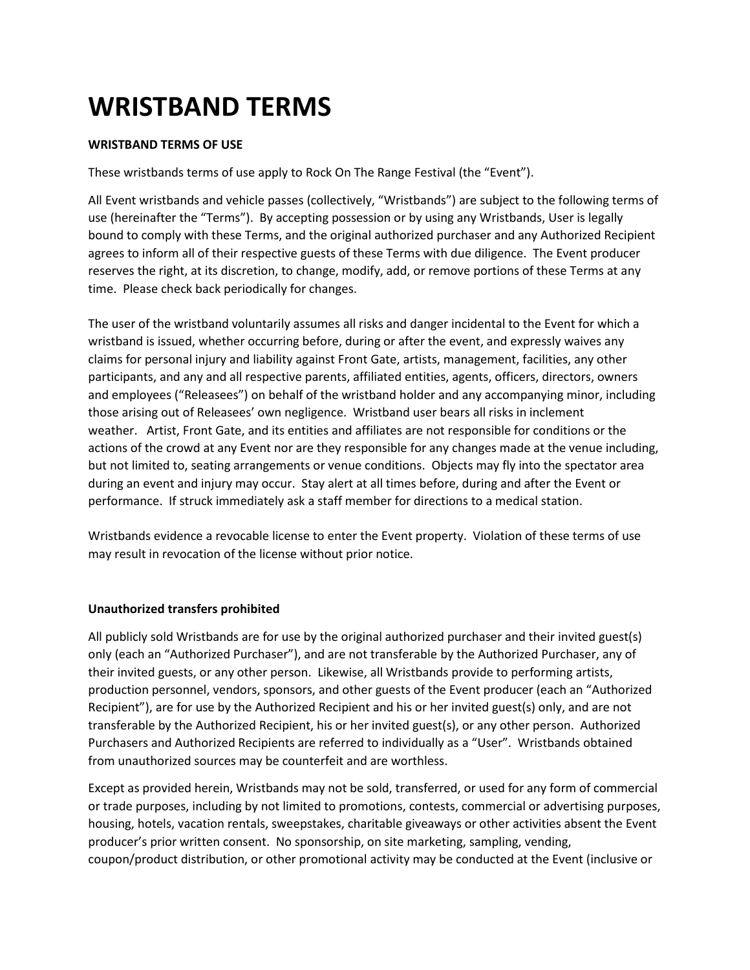# **WRISTBAND TERMS**

## **WRISTBAND TERMS OF USE**

These wristbands terms of use apply to Rock On The Range Festival (the "Event").

All Event wristbands and vehicle passes (collectively, "Wristbands") are subject to the following terms of use (hereinafter the "Terms"). By accepting possession or by using any Wristbands, User is legally bound to comply with these Terms, and the original authorized purchaser and any Authorized Recipient agrees to inform all of their respective guests of these Terms with due diligence. The Event producer reserves the right, at its discretion, to change, modify, add, or remove portions of these Terms at any time. Please check back periodically for changes.

The user of the wristband voluntarily assumes all risks and danger incidental to the Event for which a wristband is issued, whether occurring before, during or after the event, and expressly waives any claims for personal injury and liability against Front Gate, artists, management, facilities, any other participants, and any and all respective parents, affiliated entities, agents, officers, directors, owners and employees ("Releasees") on behalf of the wristband holder and any accompanying minor, including those arising out of Releasees' own negligence. Wristband user bears all risks in inclement weather. Artist, Front Gate, and its entities and affiliates are not responsible for conditions or the actions of the crowd at any Event nor are they responsible for any changes made at the venue including, but not limited to, seating arrangements or venue conditions. Objects may fly into the spectator area during an event and injury may occur. Stay alert at all times before, during and after the Event or performance. If struck immediately ask a staff member for directions to a medical station.

Wristbands evidence a revocable license to enter the Event property. Violation of these terms of use may result in revocation of the license without prior notice.

#### **Unauthorized transfers prohibited**

All publicly sold Wristbands are for use by the original authorized purchaser and their invited guest(s) only (each an "Authorized Purchaser"), and are not transferable by the Authorized Purchaser, any of their invited guests, or any other person. Likewise, all Wristbands provide to performing artists, production personnel, vendors, sponsors, and other guests of the Event producer (each an "Authorized Recipient"), are for use by the Authorized Recipient and his or her invited guest(s) only, and are not transferable by the Authorized Recipient, his or her invited guest(s), or any other person. Authorized Purchasers and Authorized Recipients are referred to individually as a "User". Wristbands obtained from unauthorized sources may be counterfeit and are worthless.

Except as provided herein, Wristbands may not be sold, transferred, or used for any form of commercial or trade purposes, including by not limited to promotions, contests, commercial or advertising purposes, housing, hotels, vacation rentals, sweepstakes, charitable giveaways or other activities absent the Event producer's prior written consent. No sponsorship, on site marketing, sampling, vending, coupon/product distribution, or other promotional activity may be conducted at the Event (inclusive or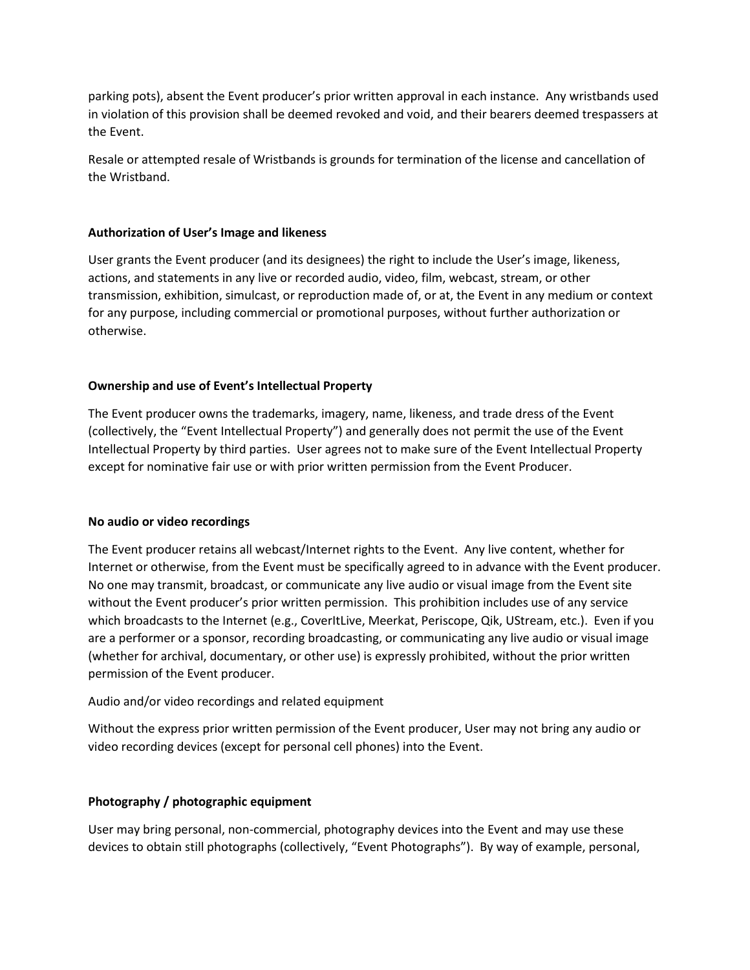parking pots), absent the Event producer's prior written approval in each instance. Any wristbands used in violation of this provision shall be deemed revoked and void, and their bearers deemed trespassers at the Event.

Resale or attempted resale of Wristbands is grounds for termination of the license and cancellation of the Wristband.

### **Authorization of User's Image and likeness**

User grants the Event producer (and its designees) the right to include the User's image, likeness, actions, and statements in any live or recorded audio, video, film, webcast, stream, or other transmission, exhibition, simulcast, or reproduction made of, or at, the Event in any medium or context for any purpose, including commercial or promotional purposes, without further authorization or otherwise.

## **Ownership and use of Event's Intellectual Property**

The Event producer owns the trademarks, imagery, name, likeness, and trade dress of the Event (collectively, the "Event Intellectual Property") and generally does not permit the use of the Event Intellectual Property by third parties. User agrees not to make sure of the Event Intellectual Property except for nominative fair use or with prior written permission from the Event Producer.

#### **No audio or video recordings**

The Event producer retains all webcast/Internet rights to the Event. Any live content, whether for Internet or otherwise, from the Event must be specifically agreed to in advance with the Event producer. No one may transmit, broadcast, or communicate any live audio or visual image from the Event site without the Event producer's prior written permission. This prohibition includes use of any service which broadcasts to the Internet (e.g., CoverItLive, Meerkat, Periscope, Qik, UStream, etc.). Even if you are a performer or a sponsor, recording broadcasting, or communicating any live audio or visual image (whether for archival, documentary, or other use) is expressly prohibited, without the prior written permission of the Event producer.

#### Audio and/or video recordings and related equipment

Without the express prior written permission of the Event producer, User may not bring any audio or video recording devices (except for personal cell phones) into the Event.

#### **Photography / photographic equipment**

User may bring personal, non-commercial, photography devices into the Event and may use these devices to obtain still photographs (collectively, "Event Photographs"). By way of example, personal,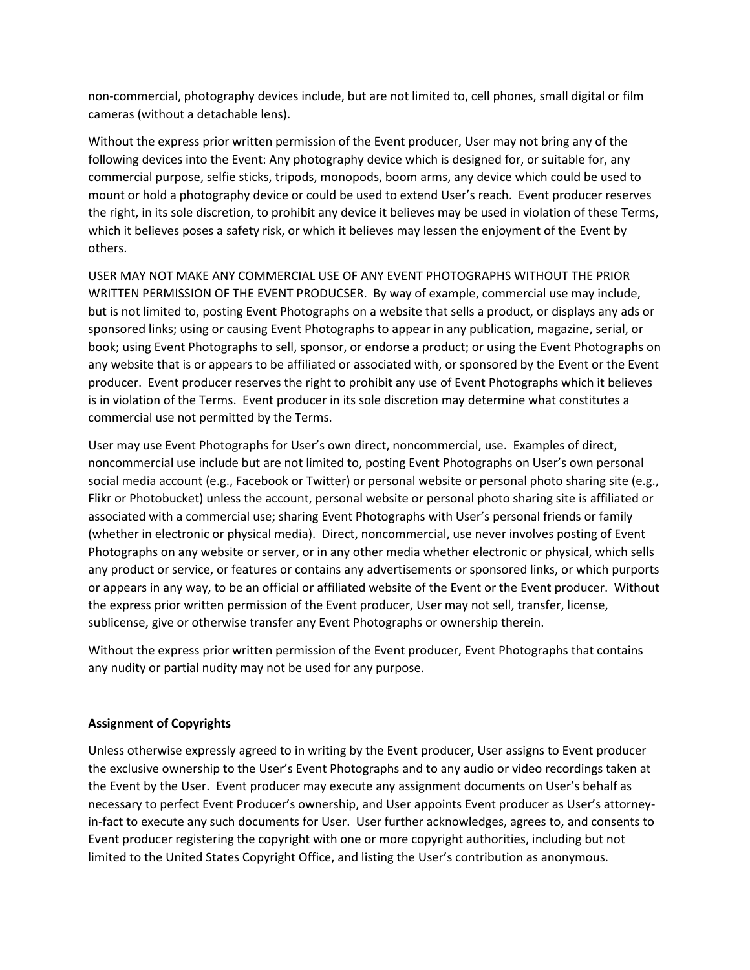non-commercial, photography devices include, but are not limited to, cell phones, small digital or film cameras (without a detachable lens).

Without the express prior written permission of the Event producer, User may not bring any of the following devices into the Event: Any photography device which is designed for, or suitable for, any commercial purpose, selfie sticks, tripods, monopods, boom arms, any device which could be used to mount or hold a photography device or could be used to extend User's reach. Event producer reserves the right, in its sole discretion, to prohibit any device it believes may be used in violation of these Terms, which it believes poses a safety risk, or which it believes may lessen the enjoyment of the Event by others.

USER MAY NOT MAKE ANY COMMERCIAL USE OF ANY EVENT PHOTOGRAPHS WITHOUT THE PRIOR WRITTEN PERMISSION OF THE EVENT PRODUCSER. By way of example, commercial use may include, but is not limited to, posting Event Photographs on a website that sells a product, or displays any ads or sponsored links; using or causing Event Photographs to appear in any publication, magazine, serial, or book; using Event Photographs to sell, sponsor, or endorse a product; or using the Event Photographs on any website that is or appears to be affiliated or associated with, or sponsored by the Event or the Event producer. Event producer reserves the right to prohibit any use of Event Photographs which it believes is in violation of the Terms. Event producer in its sole discretion may determine what constitutes a commercial use not permitted by the Terms.

User may use Event Photographs for User's own direct, noncommercial, use. Examples of direct, noncommercial use include but are not limited to, posting Event Photographs on User's own personal social media account (e.g., Facebook or Twitter) or personal website or personal photo sharing site (e.g., Flikr or Photobucket) unless the account, personal website or personal photo sharing site is affiliated or associated with a commercial use; sharing Event Photographs with User's personal friends or family (whether in electronic or physical media). Direct, noncommercial, use never involves posting of Event Photographs on any website or server, or in any other media whether electronic or physical, which sells any product or service, or features or contains any advertisements or sponsored links, or which purports or appears in any way, to be an official or affiliated website of the Event or the Event producer. Without the express prior written permission of the Event producer, User may not sell, transfer, license, sublicense, give or otherwise transfer any Event Photographs or ownership therein.

Without the express prior written permission of the Event producer, Event Photographs that contains any nudity or partial nudity may not be used for any purpose.

# **Assignment of Copyrights**

Unless otherwise expressly agreed to in writing by the Event producer, User assigns to Event producer the exclusive ownership to the User's Event Photographs and to any audio or video recordings taken at the Event by the User. Event producer may execute any assignment documents on User's behalf as necessary to perfect Event Producer's ownership, and User appoints Event producer as User's attorneyin-fact to execute any such documents for User. User further acknowledges, agrees to, and consents to Event producer registering the copyright with one or more copyright authorities, including but not limited to the United States Copyright Office, and listing the User's contribution as anonymous.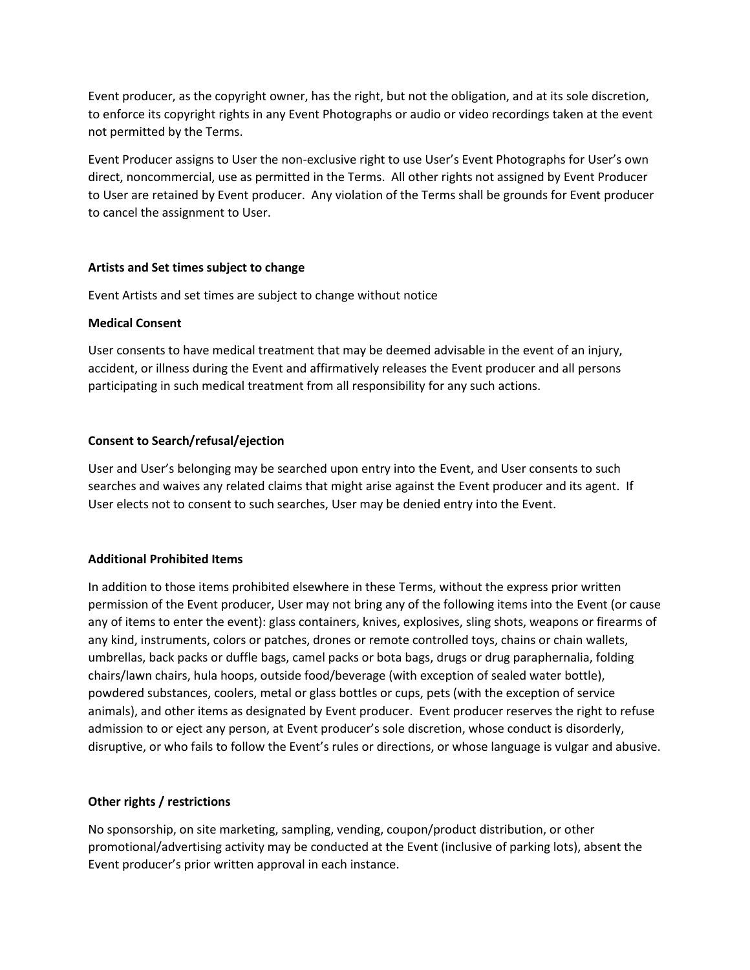Event producer, as the copyright owner, has the right, but not the obligation, and at its sole discretion, to enforce its copyright rights in any Event Photographs or audio or video recordings taken at the event not permitted by the Terms.

Event Producer assigns to User the non-exclusive right to use User's Event Photographs for User's own direct, noncommercial, use as permitted in the Terms. All other rights not assigned by Event Producer to User are retained by Event producer. Any violation of the Terms shall be grounds for Event producer to cancel the assignment to User.

#### **Artists and Set times subject to change**

Event Artists and set times are subject to change without notice

## **Medical Consent**

User consents to have medical treatment that may be deemed advisable in the event of an injury, accident, or illness during the Event and affirmatively releases the Event producer and all persons participating in such medical treatment from all responsibility for any such actions.

# **Consent to Search/refusal/ejection**

User and User's belonging may be searched upon entry into the Event, and User consents to such searches and waives any related claims that might arise against the Event producer and its agent. If User elects not to consent to such searches, User may be denied entry into the Event.

# **Additional Prohibited Items**

In addition to those items prohibited elsewhere in these Terms, without the express prior written permission of the Event producer, User may not bring any of the following items into the Event (or cause any of items to enter the event): glass containers, knives, explosives, sling shots, weapons or firearms of any kind, instruments, colors or patches, drones or remote controlled toys, chains or chain wallets, umbrellas, back packs or duffle bags, camel packs or bota bags, drugs or drug paraphernalia, folding chairs/lawn chairs, hula hoops, outside food/beverage (with exception of sealed water bottle), powdered substances, coolers, metal or glass bottles or cups, pets (with the exception of service animals), and other items as designated by Event producer. Event producer reserves the right to refuse admission to or eject any person, at Event producer's sole discretion, whose conduct is disorderly, disruptive, or who fails to follow the Event's rules or directions, or whose language is vulgar and abusive.

# **Other rights / restrictions**

No sponsorship, on site marketing, sampling, vending, coupon/product distribution, or other promotional/advertising activity may be conducted at the Event (inclusive of parking lots), absent the Event producer's prior written approval in each instance.